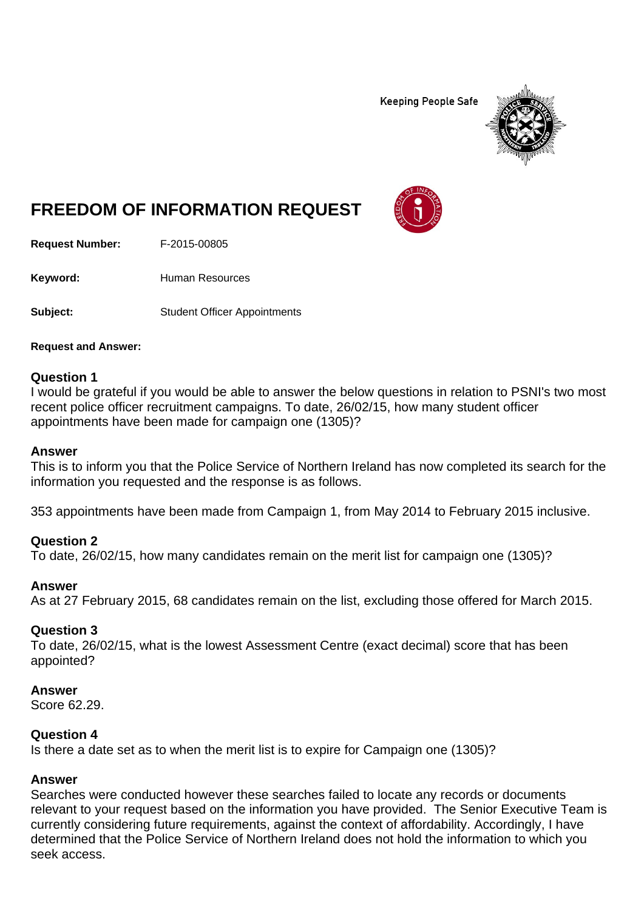**Keeping People Safe** 



# **FREEDOM OF INFORMATION REQUEST**

**Request Number:** F-2015-00805

Keyword: **Human Resources** 

**Subject:** Student Officer Appointments

**Request and Answer:** 

### **Question 1**

I would be grateful if you would be able to answer the below questions in relation to PSNI's two most recent police officer recruitment campaigns. To date, 26/02/15, how many student officer appointments have been made for campaign one (1305)?

#### **Answer**

This is to inform you that the Police Service of Northern Ireland has now completed its search for the information you requested and the response is as follows.

353 appointments have been made from Campaign 1, from May 2014 to February 2015 inclusive.

## **Question 2**

To date, 26/02/15, how many candidates remain on the merit list for campaign one (1305)?

#### **Answer**

As at 27 February 2015, 68 candidates remain on the list, excluding those offered for March 2015.

## **Question 3**

To date, 26/02/15, what is the lowest Assessment Centre (exact decimal) score that has been appointed?

#### **Answer**

Score 62.29.

#### **Question 4**

Is there a date set as to when the merit list is to expire for Campaign one (1305)?

## **Answer**

Searches were conducted however these searches failed to locate any records or documents relevant to your request based on the information you have provided. The Senior Executive Team is currently considering future requirements, against the context of affordability. Accordingly, I have determined that the Police Service of Northern Ireland does not hold the information to which you seek access.